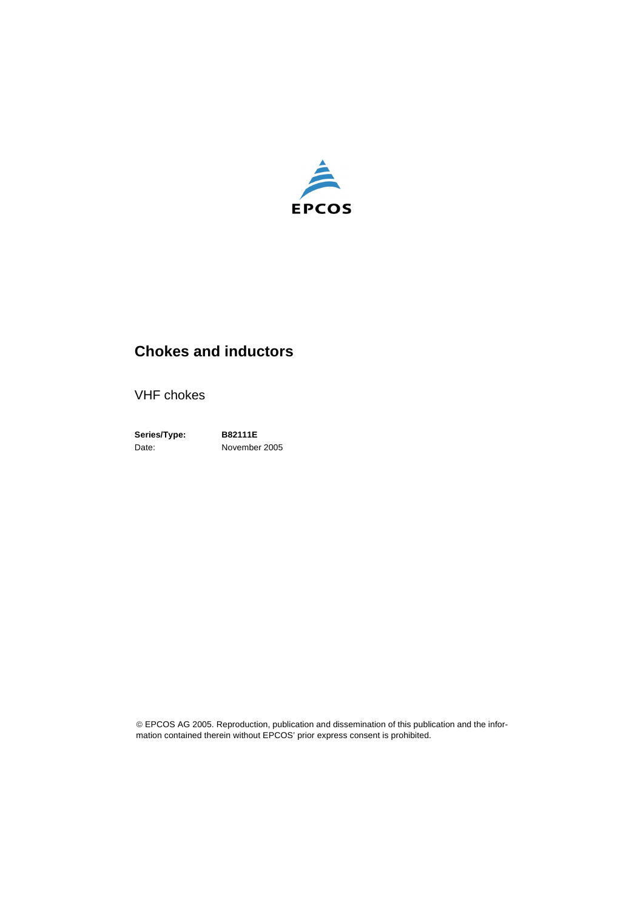

# **Chokes and inductors**

VHF chokes

**Series/Type: B82111E** Date: November 2005

© EPCOS AG 2005. Reproduction, publication and dissemination of this publication and the information contained therein without EPCOS' prior express consent is prohibited.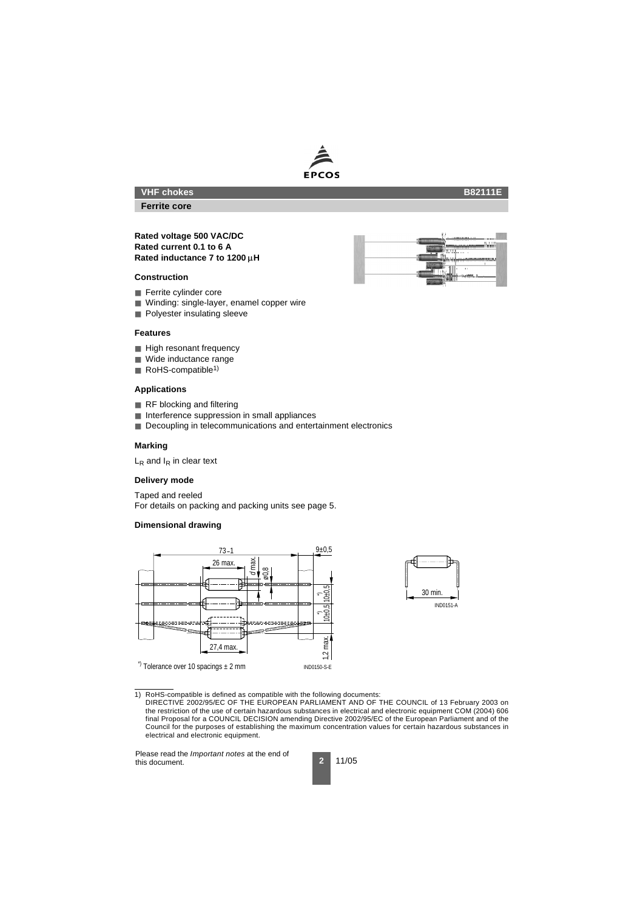# **EPCOS**

## **VHF chokes**

**Ferrite core**

#### **Rated voltage 500 VAC/DC Rated current 0.1 to 6 A Rated inductance 7 to 1200 H**

#### **Construction**

- Ferrite cylinder core
- Winding: single-layer, enamel copper wire
- Polvester insulating sleeve

#### **Features**

- High resonant frequency
- Wide inductance range
- RoHS-compatible<sup>1)</sup>

#### **Applications**

- RF blocking and filtering
- Interference suppression in small appliances
- Decoupling in telecommunications and entertainment electronics

#### **Marking**

 $L_R$  and  $I_R$  in clear text

#### **Delivery mode**

Taped and reeled For details on packing and packing units [see page 5](#page-4-0).

#### **Dimensional drawing**





1) RoHS-compatible is defined as compatible with the following documents:





#### **B82111E**

DIRECTIVE 2002/95/EC OF THE EUROPEAN PARLIAMENT AND OF THE COUNCIL of 13 February 2003 on the restriction of the use of certain hazardous substances in electrical and electronic equipment COM (2004) 606 final Proposal for a COUNCIL DECISION amending Directive 2002/95/EC of the European Parliament and of the Council for the purposes of establishing the maximum concentration values for certain hazardous substances in electrical and electronic equipment.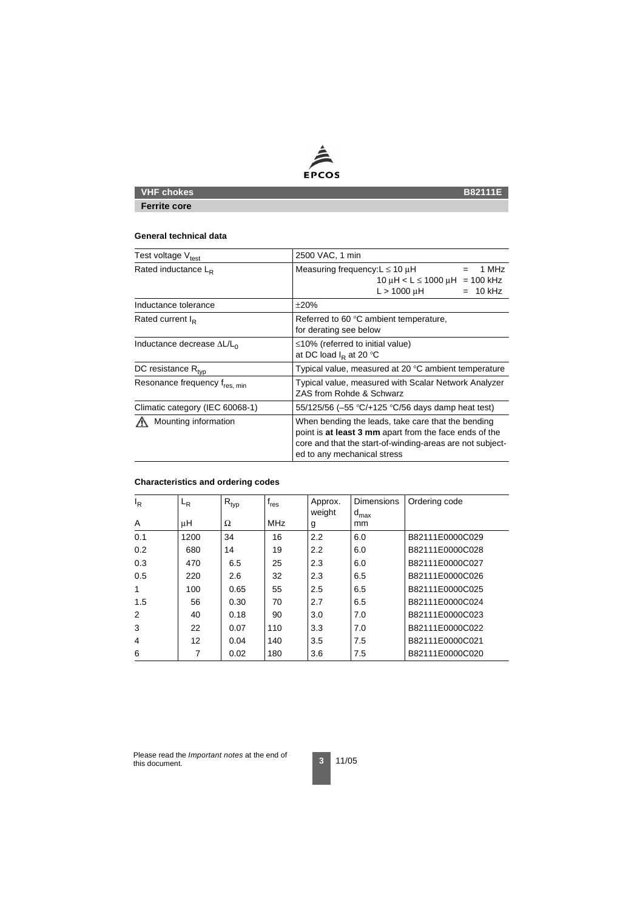

# **VHF chokes** B82111E

**Ferrite core**

#### **General technical data**

| Test voltage V <sub>test</sub>     | 2500 VAC, 1 min                                                                                                                                                                                          |  |  |  |
|------------------------------------|----------------------------------------------------------------------------------------------------------------------------------------------------------------------------------------------------------|--|--|--|
| Rated inductance $L_{\rm R}$       | Measuring frequency: $L \le 10 \mu H$<br>1 MHz<br>$10 \mu H < L \le 1000 \mu H = 100 \text{ kHz}$<br>$L > 1000 \mu H$<br>$= 10$ kHz                                                                      |  |  |  |
| Inductance tolerance               | ±20%                                                                                                                                                                                                     |  |  |  |
| Rated current $I_R$                | Referred to 60 °C ambient temperature,<br>for derating see below                                                                                                                                         |  |  |  |
| Inductance decrease $\Delta L/L_0$ | $\leq$ 10% (referred to initial value)<br>at DC load $I_R$ at 20 °C                                                                                                                                      |  |  |  |
| DC resistance $R_{\text{typ}}$     | Typical value, measured at 20 °C ambient temperature                                                                                                                                                     |  |  |  |
| Resonance frequency fres, min      | Typical value, measured with Scalar Network Analyzer<br>ZAS from Rohde & Schwarz                                                                                                                         |  |  |  |
| Climatic category (IEC 60068-1)    | 55/125/56 (-55 $\degree$ C/+125 $\degree$ C/56 days damp heat test)                                                                                                                                      |  |  |  |
| Mounting information               | When bending the leads, take care that the bending<br>point is at least 3 mm apart from the face ends of the<br>core and that the start-of-winding-areas are not subject-<br>ed to any mechanical stress |  |  |  |

## **Characteristics and ordering codes**

| $I_R$ | $L_R$ | $R_{typ}$ | $f_{res}$  | Approx.<br>weight | <b>Dimensions</b><br>$d_{\text{max}}$ | Ordering code   |
|-------|-------|-----------|------------|-------------------|---------------------------------------|-----------------|
| A     | μH    | Ω         | <b>MHz</b> | g                 | mm                                    |                 |
| 0.1   | 1200  | 34        | 16         | 2.2               | 6.0                                   | B82111E0000C029 |
| 0.2   | 680   | 14        | 19         | 2.2               | 6.0                                   | B82111E0000C028 |
| 0.3   | 470   | 6.5       | 25         | 2.3               | 6.0                                   | B82111E0000C027 |
| 0.5   | 220   | 2.6       | 32         | 2.3               | 6.5                                   | B82111E0000C026 |
| 1     | 100   | 0.65      | 55         | 2.5               | 6.5                                   | B82111E0000C025 |
| 1.5   | 56    | 0.30      | 70         | 2.7               | 6.5                                   | B82111E0000C024 |
| 2     | 40    | 0.18      | 90         | 3.0               | 7.0                                   | B82111E0000C023 |
| 3     | 22    | 0.07      | 110        | 3.3               | 7.0                                   | B82111E0000C022 |
| 4     | 12    | 0.04      | 140        | 3.5               | 7.5                                   | B82111E0000C021 |
| 6     | 7     | 0.02      | 180        | 3.6               | 7.5                                   | B82111E0000C020 |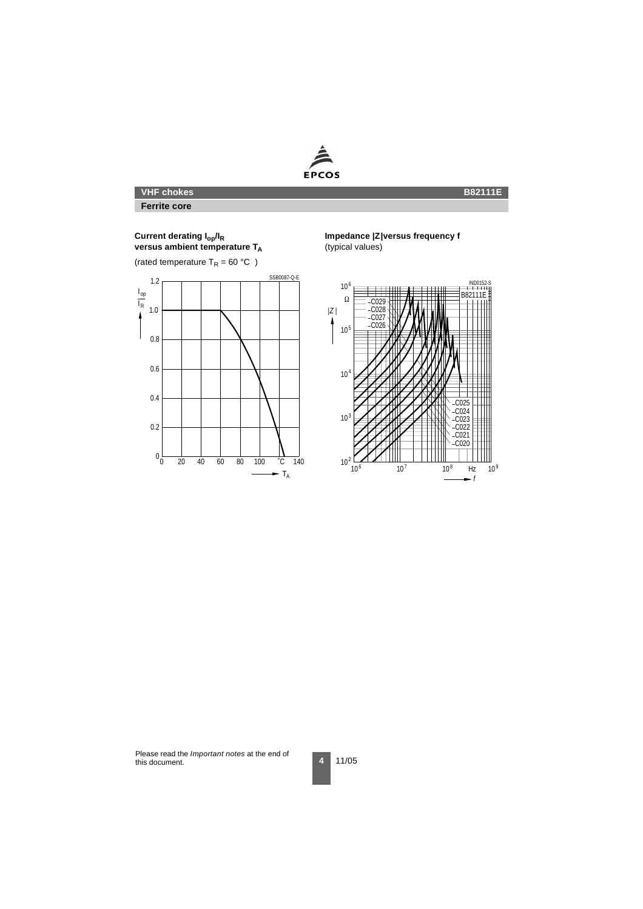

# **VHF chokes**

**Ferrite core**

#### **Current derating Iop/IR versus ambient temperature TA**

(rated temperature  $T_R = 60 °C$ )



#### **Impedance |Z|versus frequency f**

(typical values)

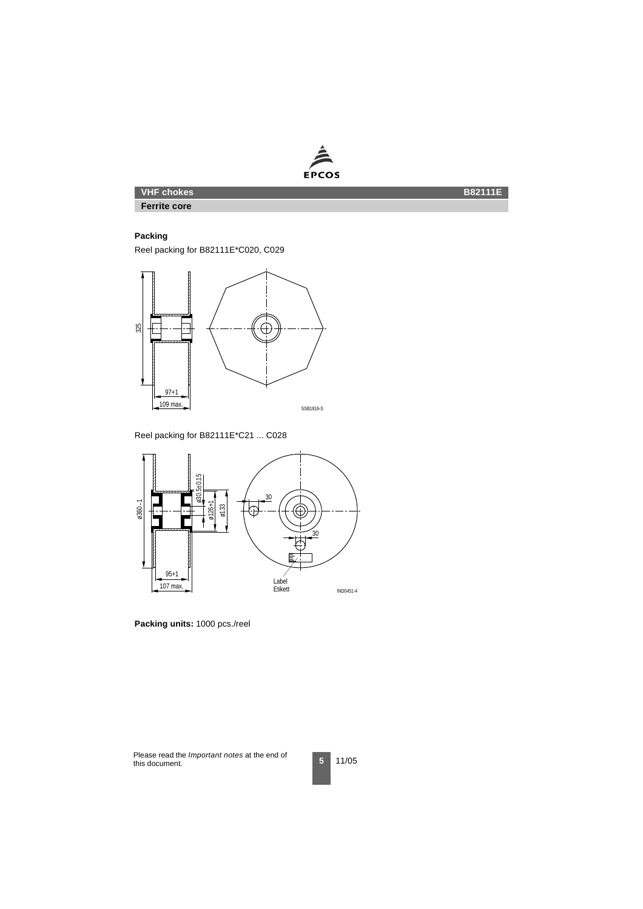

# **VHF chokes** B82111E

#### **Ferrite core**

#### <span id="page-4-0"></span>**Packing**

Reel packing for B82111E\*C020, C029



Reel packing for B82111E\*C21 ... C028



**Packing units:** 1000 pcs./reel